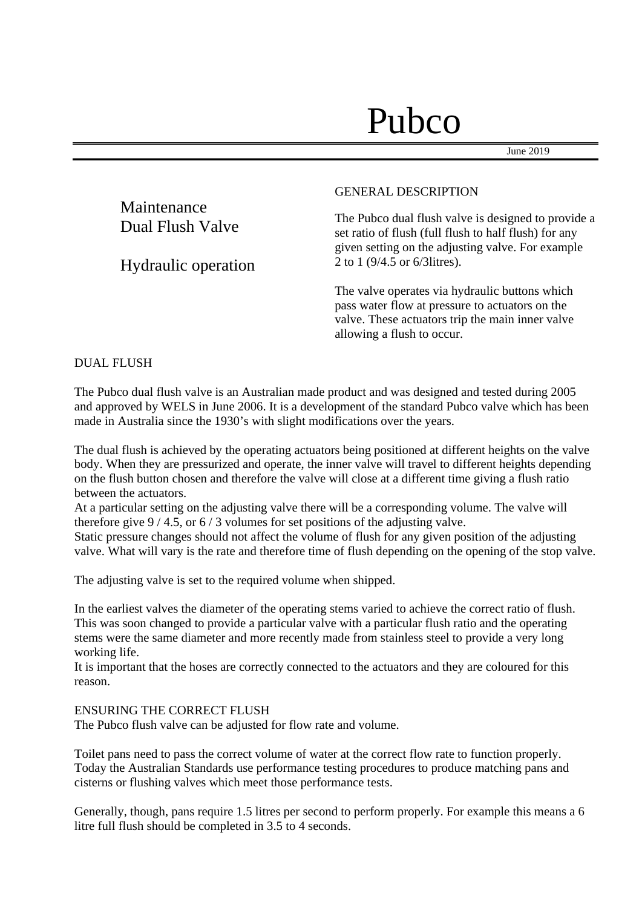# Pubco

allowing a flush to occur.

June 2019

|                                 | <b>GENERAL DESCRIPTION</b>                                                                                                                                        |
|---------------------------------|-------------------------------------------------------------------------------------------------------------------------------------------------------------------|
| Maintenance<br>Dual Flush Valve | The Pubco dual flush valve is designed to provide a<br>set ratio of flush (full flush to half flush) for any<br>given setting on the adjusting valve. For example |
| Hydraulic operation             | 2 to 1 $(9/4.5 \text{ or } 6/3 \text{ litres})$ .                                                                                                                 |
|                                 | The valve operates via hydraulic buttons which<br>pass water flow at pressure to actuators on the<br>valve. These actuators trip the main inner valve             |

DUAL FLUSH

The Pubco dual flush valve is an Australian made product and was designed and tested during 2005 and approved by WELS in June 2006. It is a development of the standard Pubco valve which has been made in Australia since the 1930's with slight modifications over the years.

The dual flush is achieved by the operating actuators being positioned at different heights on the valve body. When they are pressurized and operate, the inner valve will travel to different heights depending on the flush button chosen and therefore the valve will close at a different time giving a flush ratio between the actuators.

At a particular setting on the adjusting valve there will be a corresponding volume. The valve will therefore give 9 / 4.5, or 6 / 3 volumes for set positions of the adjusting valve.

Static pressure changes should not affect the volume of flush for any given position of the adjusting valve. What will vary is the rate and therefore time of flush depending on the opening of the stop valve.

The adjusting valve is set to the required volume when shipped.

In the earliest valves the diameter of the operating stems varied to achieve the correct ratio of flush. This was soon changed to provide a particular valve with a particular flush ratio and the operating stems were the same diameter and more recently made from stainless steel to provide a very long working life.

It is important that the hoses are correctly connected to the actuators and they are coloured for this reason.

### ENSURING THE CORRECT FLUSH

The Pubco flush valve can be adjusted for flow rate and volume.

Toilet pans need to pass the correct volume of water at the correct flow rate to function properly. Today the Australian Standards use performance testing procedures to produce matching pans and cisterns or flushing valves which meet those performance tests.

Generally, though, pans require 1.5 litres per second to perform properly. For example this means a 6 litre full flush should be completed in 3.5 to 4 seconds.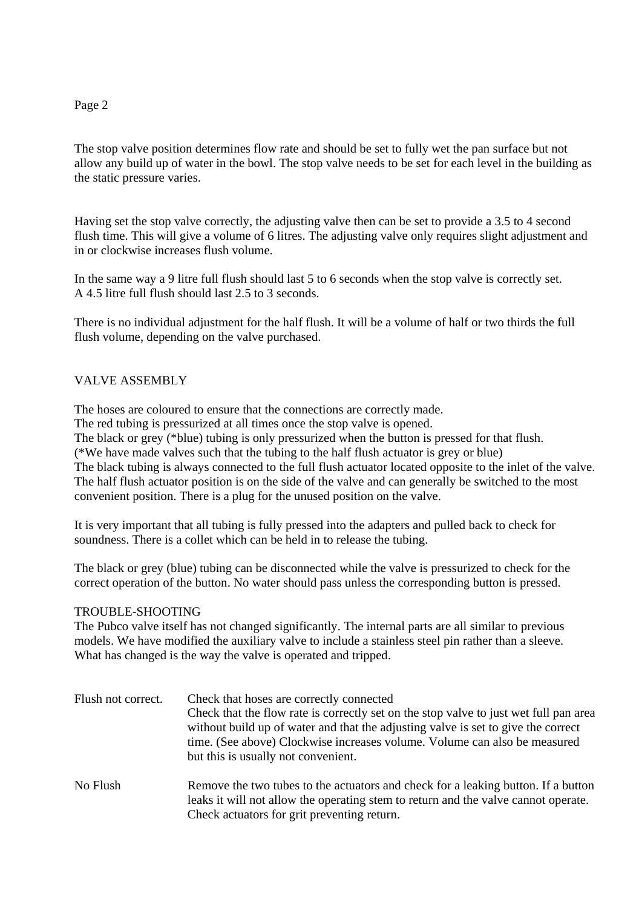## Page 2

The stop valve position determines flow rate and should be set to fully wet the pan surface but not allow any build up of water in the bowl. The stop valve needs to be set for each level in the building as the static pressure varies.

Having set the stop valve correctly, the adjusting valve then can be set to provide a 3.5 to 4 second flush time. This will give a volume of 6 litres. The adjusting valve only requires slight adjustment and in or clockwise increases flush volume.

In the same way a 9 litre full flush should last 5 to 6 seconds when the stop valve is correctly set. A 4.5 litre full flush should last 2.5 to 3 seconds.

There is no individual adjustment for the half flush. It will be a volume of half or two thirds the full flush volume, depending on the valve purchased.

# VALVE ASSEMBLY

The hoses are coloured to ensure that the connections are correctly made.

The red tubing is pressurized at all times once the stop valve is opened.

The black or grey (\*blue) tubing is only pressurized when the button is pressed for that flush.

(\*We have made valves such that the tubing to the half flush actuator is grey or blue)

The black tubing is always connected to the full flush actuator located opposite to the inlet of the valve. The half flush actuator position is on the side of the valve and can generally be switched to the most convenient position. There is a plug for the unused position on the valve.

It is very important that all tubing is fully pressed into the adapters and pulled back to check for soundness. There is a collet which can be held in to release the tubing.

The black or grey (blue) tubing can be disconnected while the valve is pressurized to check for the correct operation of the button. No water should pass unless the corresponding button is pressed.

## TROUBLE-SHOOTING

The Pubco valve itself has not changed significantly. The internal parts are all similar to previous models. We have modified the auxiliary valve to include a stainless steel pin rather than a sleeve. What has changed is the way the valve is operated and tripped.

| Flush not correct. | Check that hoses are correctly connected<br>Check that the flow rate is correctly set on the stop valve to just wet full pan area<br>without build up of water and that the adjusting valve is set to give the correct<br>time. (See above) Clockwise increases volume. Volume can also be measured<br>but this is usually not convenient. |
|--------------------|--------------------------------------------------------------------------------------------------------------------------------------------------------------------------------------------------------------------------------------------------------------------------------------------------------------------------------------------|
| No Flush           | Remove the two tubes to the actuators and check for a leaking button. If a button<br>leaks it will not allow the operating stem to return and the valve cannot operate.                                                                                                                                                                    |

Check actuators for grit preventing return.